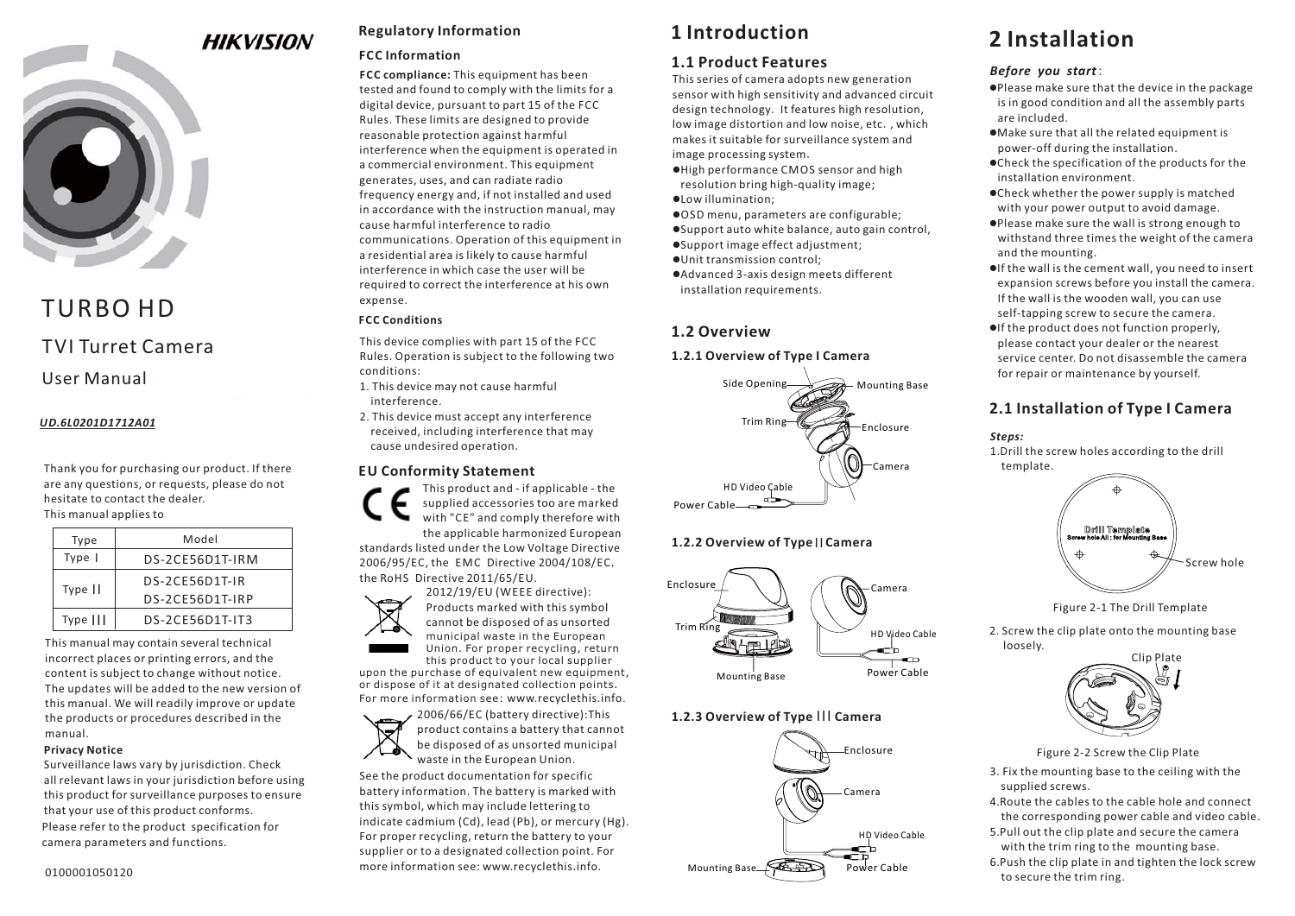# **HIKVISION**



# TVI Turret CameraTURBO HD

# User Manual

# *UD.6L0201D1712A01*

Thank you for purchasing our product. If there are any questions, or requests, please do not hesitate to contact the dealer. This manual applies to

| Type     | Model           |
|----------|-----------------|
| Type     | DS-2CE56D1T-IRM |
| Type     | DS-2CE56D1T-IR  |
|          | DS-2CE56D1T-IRP |
| Type III | DS-2CE56D1T-IT3 |

This manual may contain several technical incorrect places or printing errors, and the content is subject to change without notice. The updates will be added to the new version of this manual. We will readily improve or update the products or procedures described in the manual.

#### **Privacy Notice**

Please refer to the product specification for camera parameters and functions. Surveillance laws vary by jurisdiction. Check all relevant laws in your jurisdiction before using this product for surveillance purposes to ensure that your use of this product conforms.

# **Regulatory Information**

#### **FCC Information**

**FCC compliance:** This equipment has been tested and found to comply with the limits for a digital device, pursuant to part 15 of the FCC Rules. These limits are designed to provide reasonable protection against harmful interference when the equipment is operated in a commercial environment. This equipment generates, uses, and can radiate radio frequency energy and, if not installed and used in accordance with the instruction manual, may cause harmful interference to radio communications. Operation of this equipment in a residential area is likely to cause harmful interference in which case the user will berequired to correct the interference at his own expense.

# **FCC Conditions**

This device complies with part 15 of the FCC Rules. Operation is subject to the following two conditions:

- 1. This device may not cause harmful interference.
- 2. This device must accept any interference received, including interference that may cause undesired operation.

### **EU Conformity Statement**

This product and - if applicable - the supplied accessories too are marked with "CE" and comply therefore with the applicable harmonized European

standards listed under the Low Voltage Directive 2006/95/EC, the EMC Directive 2004/108/EC, the RoHS Directive 2011/65/EU.



upon the purchase of equivalent new equipment, or dispose of it at designated collection points. For more information see: www.recyclethis.info. this product to your local supplier



See the product documentation for specific battery information. The battery is marked with this symbol, which may include lettering to indicate cadmium (Cd), lead (Pb), or mercury (Hg). For proper recycling, return the battery to your supplier or to a designated collection point. For more information see: www.recyclethis.info.

# **1 Introduction**

# **1.1 Product Features**

This series of camera adopts new generation sensor with high sensitivity and advanced circuit design technology. It features high resolution, low image distortion and low noise, etc., which makes it suitable for surveillance system and image processing system.

- -High performance CMOS sensor and high resolution bring high-quality image;
- -Low illumination;
- -OSD menu, parameters are configurable;
- -Support auto white balance, auto gain control,
- -Support image effect adjustment;
- -Unit transmission control;
- -Advanced 3-axis design meets different installation requirements.

# **1.2 Overview**

# **1.2.1 Overview of Type I Camera**



# **1.2.2 Overview of Type || Camera**



# **1.2.3 Overview of Type III Camera**



# **2 Installation**

# *Before you start*:

- $\bullet$ Please make sure that the device in the package is in good condition and all the assembly parts are included.
- -Make sure that all the related equipment is power-off during the installation.
- -Check the specification of the products for the installation environment.
- -Check whether the power supply is matched with your power output to avoid damage.
- -Please make sure the wall is strong enough to withstand three times the weight of the camera and the mounting.
- -If the wall is the cement wall, you need to insert expansion screws before you install the camera. If the wall is the wooden wall, you can use self-tapping screw to secure the camera.
- -If the product does not function properly, please contact your dealer or the nearest service center. Do not disassemble the camerafor repair or maintenance by yourself.

# **2.1 Installation of Type Camera I**





Figure 2-1 The Drill Template

2. Screw the clip plate onto the mounting base loosely.



Figure 2-2 Screw the Clip Plate

- 3. Fix the mounting base to the ceiling with the supplied screws.
- 4.Route the cables to the cable hole and connect the corresponding power cable and video cable.
- 5.Pull out the clip plate and secure the camera with the trim ring to the mounting base.
- 6.Push the clip plate in and tighten the lock screw to secure the trim ring.